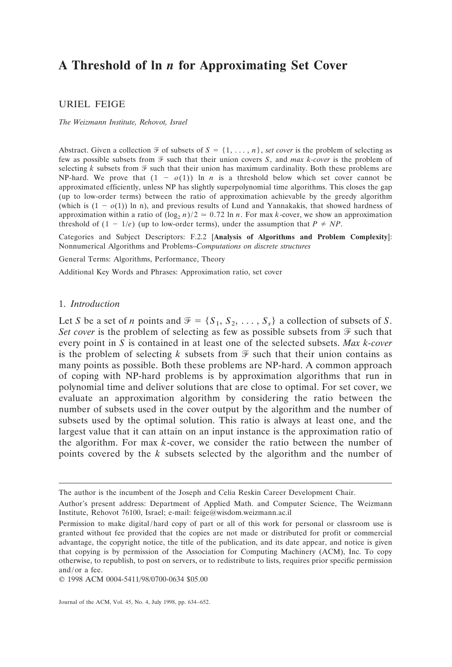# **A Threshold of ln** *n* **for Approximating Set Cover**

# URIEL FEIGE

*The Weizmann Institute, Rehovot, Israel*

Abstract. Given a collection  $\mathcal F$  of subsets of  $S = \{1, \ldots, n\}$ , *set cover* is the problem of selecting as few as possible subsets from  $\mathcal F$  such that their union covers *S*, and *max k-cover* is the problem of selecting  $k$  subsets from  $\mathcal F$  such that their union has maximum cardinality. Both these problems are NP-hard. We prove that  $(1 - o(1))$  ln *n* is a threshold below which set cover cannot be approximated efficiently, unless NP has slightly superpolynomial time algorithms. This closes the gap (up to low-order terms) between the ratio of approximation achievable by the greedy algorithm (which is  $(1 - o(1))$  ln n), and previous results of Lund and Yannakakis, that showed hardness of approximation within a ratio of  $(\log_2 n)/2 \approx 0.72 \ln n$ . For max *k*-cover, we show an approximation threshold of  $(1 - 1/e)$  (up to low-order terms), under the assumption that  $P \neq NP$ .

Categories and Subject Descriptors: F.2.2 [**Analysis of Algorithms and Problem Complexity**]: Nonnumerical Algorithms and Problems–*Computations on discrete structures*

General Terms: Algorithms, Performance, Theory

Additional Key Words and Phrases: Approximation ratio, set cover

## 1. *Introduction*

Let *S* be a set of *n* points and  $\mathcal{F} = \{S_1, S_2, \ldots, S_s\}$  a collection of subsets of *S*. *Set cover* is the problem of selecting as few as possible subsets from  $\mathcal{F}$  such that every point in *S* is contained in at least one of the selected subsets. *Max k-cover* is the problem of selecting k subsets from  $\mathcal F$  such that their union contains as many points as possible. Both these problems are NP-hard. A common approach of coping with NP-hard problems is by approximation algorithms that run in polynomial time and deliver solutions that are close to optimal. For set cover, we evaluate an approximation algorithm by considering the ratio between the number of subsets used in the cover output by the algorithm and the number of subsets used by the optimal solution. This ratio is always at least one, and the largest value that it can attain on an input instance is the approximation ratio of the algorithm. For max *k*-cover, we consider the ratio between the number of points covered by the *k* subsets selected by the algorithm and the number of

The author is the incumbent of the Joseph and Celia Reskin Career Development Chair.

Author's present address: Department of Applied Math. and Computer Science, The Weizmann Institute, Rehovot 76100, Israel; e-mail: feige@wisdom.weizmann.ac.il

Permission to make digital/hard copy of part or all of this work for personal or classroom use is granted without fee provided that the copies are not made or distributed for profit or commercial advantage, the copyright notice, the title of the publication, and its date appear, and notice is given that copying is by permission of the Association for Computing Machinery (ACM), Inc. To copy otherwise, to republish, to post on servers, or to redistribute to lists, requires prior specific permission and/or a fee.

<sup>© 1998</sup> ACM 0004-5411/98/0700-0634 \$05.00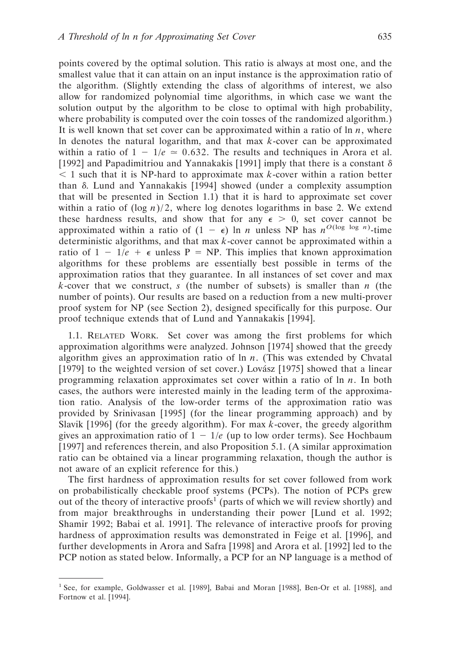points covered by the optimal solution. This ratio is always at most one, and the smallest value that it can attain on an input instance is the approximation ratio of the algorithm. (Slightly extending the class of algorithms of interest, we also allow for randomized polynomial time algorithms, in which case we want the solution output by the algorithm to be close to optimal with high probability, where probability is computed over the coin tosses of the randomized algorithm.) It is well known that set cover can be approximated within a ratio of  $\ln n$ , where ln denotes the natural logarithm, and that max *k*-cover can be approximated within a ratio of  $1 - 1/e \approx 0.632$ . The results and techniques in Arora et al. [1992] and Papadimitriou and Yannakakis [1991] imply that there is a constant  $\delta$  $\leq$  1 such that it is NP-hard to approximate max *k*-cover within a ration better than  $\delta$ . Lund and Yannakakis [1994] showed (under a complexity assumption that will be presented in Section 1.1) that it is hard to approximate set cover within a ratio of  $(\log n)/2$ , where  $\log$  denotes logarithms in base 2. We extend these hardness results, and show that for any  $\epsilon > 0$ , set cover cannot be approximated within a ratio of  $(1 - \epsilon)$  ln *n* unless NP has  $n^{O(\log \log n)}$ -time deterministic algorithms, and that max *k*-cover cannot be approximated within a ratio of  $1 - 1/e + \epsilon$  unless P = NP. This implies that known approximation algorithms for these problems are essentially best possible in terms of the approximation ratios that they guarantee. In all instances of set cover and max  $k$ -cover that we construct,  $s$  (the number of subsets) is smaller than  $n$  (the number of points). Our results are based on a reduction from a new multi-prover proof system for NP (see Section 2), designed specifically for this purpose. Our proof technique extends that of Lund and Yannakakis [1994].

1.1. RELATED WORK. Set cover was among the first problems for which approximation algorithms were analyzed. Johnson [1974] showed that the greedy algorithm gives an approximation ratio of ln *n*. (This was extended by Chvatal  $[1979]$  to the weighted version of set cover.) Lovász  $[1975]$  showed that a linear programming relaxation approximates set cover within a ratio of ln *n*. In both cases, the authors were interested mainly in the leading term of the approximation ratio. Analysis of the low-order terms of the approximation ratio was provided by Srinivasan [1995] (for the linear programming approach) and by Slavik [1996] (for the greedy algorithm). For max *k*-cover, the greedy algorithm gives an approximation ratio of  $1 - 1/e$  (up to low order terms). See Hochbaum [1997] and references therein, and also Proposition 5.1. (A similar approximation ratio can be obtained via a linear programming relaxation, though the author is not aware of an explicit reference for this.)

The first hardness of approximation results for set cover followed from work on probabilistically checkable proof systems (PCPs). The notion of PCPs grew out of the theory of interactive proofs<sup>1</sup> (parts of which we will review shortly) and from major breakthroughs in understanding their power [Lund et al. 1992; Shamir 1992; Babai et al. 1991]. The relevance of interactive proofs for proving hardness of approximation results was demonstrated in Feige et al. [1996], and further developments in Arora and Safra [1998] and Arora et al. [1992] led to the PCP notion as stated below. Informally, a PCP for an NP language is a method of

<sup>&</sup>lt;sup>1</sup> See, for example, Goldwasser et al. [1989], Babai and Moran [1988], Ben-Or et al. [1988], and Fortnow et al. [1994].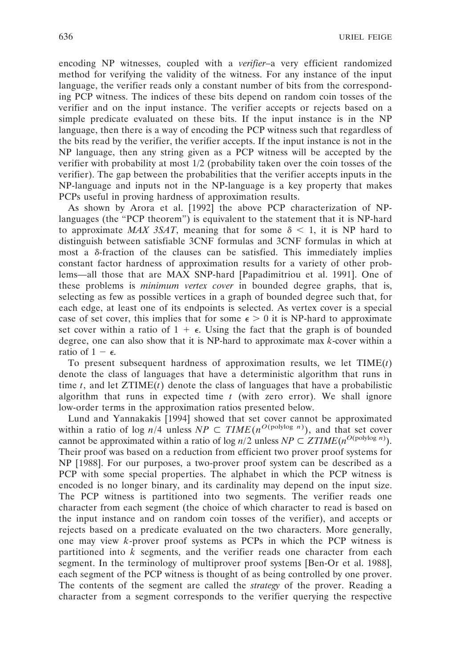encoding NP witnesses, coupled with a *verifier*–a very efficient randomized method for verifying the validity of the witness. For any instance of the input language, the verifier reads only a constant number of bits from the corresponding PCP witness. The indices of these bits depend on random coin tosses of the verifier and on the input instance. The verifier accepts or rejects based on a simple predicate evaluated on these bits. If the input instance is in the NP language, then there is a way of encoding the PCP witness such that regardless of the bits read by the verifier, the verifier accepts. If the input instance is not in the NP language, then any string given as a PCP witness will be accepted by the verifier with probability at most 1/2 (probability taken over the coin tosses of the verifier). The gap between the probabilities that the verifier accepts inputs in the NP-language and inputs not in the NP-language is a key property that makes PCPs useful in proving hardness of approximation results.

As shown by Arora et al. [1992] the above PCP characterization of NPlanguages (the "PCP theorem") is equivalent to the statement that it is NP-hard to approximate *MAX 3SAT*, meaning that for some  $\delta$  < 1, it is NP hard to distinguish between satisfiable 3CNF formulas and 3CNF formulas in which at most a  $\delta$ -fraction of the clauses can be satisfied. This immediately implies constant factor hardness of approximation results for a variety of other problems—all those that are MAX SNP-hard [Papadimitriou et al. 1991]. One of these problems is *minimum vertex cover* in bounded degree graphs, that is, selecting as few as possible vertices in a graph of bounded degree such that, for each edge, at least one of its endpoints is selected. As vertex cover is a special case of set cover, this implies that for some  $\epsilon > 0$  it is NP-hard to approximate set cover within a ratio of  $1 + \epsilon$ . Using the fact that the graph is of bounded degree, one can also show that it is NP-hard to approximate max *k*-cover within a ratio of  $1 - \epsilon$ .

To present subsequent hardness of approximation results, we let TIME(*t*) denote the class of languages that have a deterministic algorithm that runs in time *t*, and let ZTIME(*t*) denote the class of languages that have a probabilistic algorithm that runs in expected time *t* (with zero error). We shall ignore low-order terms in the approximation ratios presented below.

Lund and Yannakakis [1994] showed that set cover cannot be approximated within a ratio of log  $n/4$  unless  $NP \subset TIME(n^{O(\text{polylog } n)})$ , and that set cover cannot be approximated within a ratio of  $\log n/2$  unless  $NP \subset ZTIME(n^{O(\text{polylog } n)})$ . Their proof was based on a reduction from efficient two prover proof systems for NP [1988]. For our purposes, a two-prover proof system can be described as a PCP with some special properties. The alphabet in which the PCP witness is encoded is no longer binary, and its cardinality may depend on the input size. The PCP witness is partitioned into two segments. The verifier reads one character from each segment (the choice of which character to read is based on the input instance and on random coin tosses of the verifier), and accepts or rejects based on a predicate evaluated on the two characters. More generally, one may view *k*-prover proof systems as PCPs in which the PCP witness is partitioned into *k* segments, and the verifier reads one character from each segment. In the terminology of multiprover proof systems [Ben-Or et al. 1988], each segment of the PCP witness is thought of as being controlled by one prover. The contents of the segment are called the *strategy* of the prover. Reading a character from a segment corresponds to the verifier querying the respective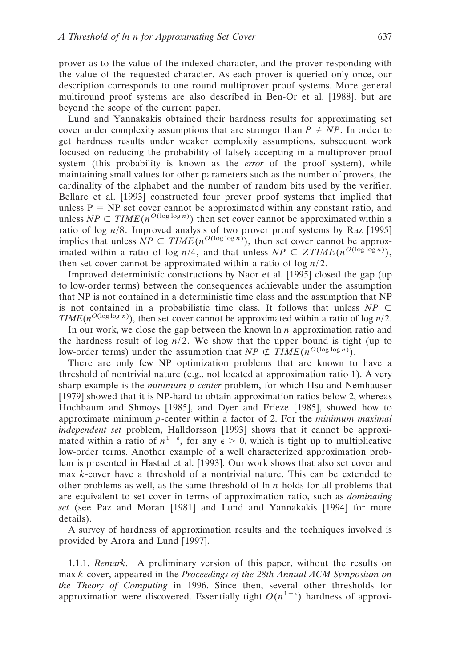prover as to the value of the indexed character, and the prover responding with the value of the requested character. As each prover is queried only once, our description corresponds to one round multiprover proof systems. More general multiround proof systems are also described in Ben-Or et al. [1988], but are beyond the scope of the current paper.

Lund and Yannakakis obtained their hardness results for approximating set cover under complexity assumptions that are stronger than  $P \neq NP$ . In order to get hardness results under weaker complexity assumptions, subsequent work focused on reducing the probability of falsely accepting in a multiprover proof system (this probability is known as the *error* of the proof system), while maintaining small values for other parameters such as the number of provers, the cardinality of the alphabet and the number of random bits used by the verifier. Bellare et al. [1993] constructed four prover proof systems that implied that unless  $P = NP$  set cover cannot be approximated within any constant ratio, and unless  $NP \subset TIME(n^{O(\log \log n)})$  then set cover cannot be approximated within a ratio of log *n*/8. Improved analysis of two prover proof systems by Raz [1995] implies that unless  $\overline{NP} \subset TIME(n^{O(\log \log n)})$ , then set cover cannot be approximated within a ratio of log  $n/4$ , and that unless  $NP \subset ZTIME(n^{O(\log \log n)})$ , then set cover cannot be approximated within a ratio of log *n*/2.

Improved deterministic constructions by Naor et al. [1995] closed the gap (up to low-order terms) between the consequences achievable under the assumption that NP is not contained in a deterministic time class and the assumption that NP is not contained in a probabilistic time class. It follows that unless  $NP \subset$ *TIME*( $n^{O(\log \log n)}$ ), then set cover cannot be approximated within a ratio of log  $n/2$ .

In our work, we close the gap between the known ln *n* approximation ratio and the hardness result of  $\log n/2$ . We show that the upper bound is tight (up to low-order terms) under the assumption that  $NP \not\subset TIME(n^{O(\log \log n)})$ .

There are only few NP optimization problems that are known to have a threshold of nontrivial nature (e.g., not located at approximation ratio 1). A very sharp example is the *minimum p-center* problem, for which Hsu and Nemhauser [1979] showed that it is NP-hard to obtain approximation ratios below 2, whereas Hochbaum and Shmoys [1985], and Dyer and Frieze [1985], showed how to approximate minimum *p*-center within a factor of 2. For the *minimum maximal independent set* problem, Halldorsson [1993] shows that it cannot be approximated within a ratio of  $n^{1-\epsilon}$ , for any  $\epsilon > 0$ , which is tight up to multiplicative low-order terms. Another example of a well characterized approximation problem is presented in Hastad et al. [1993]. Our work shows that also set cover and max *k*-cover have a threshold of a nontrivial nature. This can be extended to other problems as well, as the same threshold of ln *n* holds for all problems that are equivalent to set cover in terms of approximation ratio, such as *dominating set* (see Paz and Moran [1981] and Lund and Yannakakis [1994] for more details).

A survey of hardness of approximation results and the techniques involved is provided by Arora and Lund [1997].

1.1.1. *Remark*. A preliminary version of this paper, without the results on max *k*-cover, appeared in the *Proceedings of the 28th Annual ACM Symposium on the Theory of Computing* in 1996. Since then, several other thresholds for approximation were discovered. Essentially tight  $O(n^{1-\epsilon})$  hardness of approxi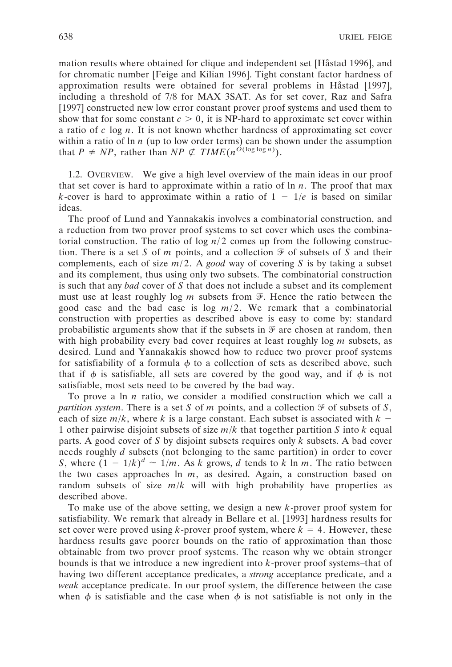mation results where obtained for clique and independent set [Håstad 1996], and for chromatic number [Feige and Kilian 1996]. Tight constant factor hardness of approximation results were obtained for several problems in Håstad [1997], including a threshold of 7/8 for MAX 3SAT. As for set cover, Raz and Safra [1997] constructed new low error constant prover proof systems and used them to show that for some constant  $c > 0$ , it is NP-hard to approximate set cover within a ratio of *c* log *n*. It is not known whether hardness of approximating set cover within a ratio of ln *n* (up to low order terms) can be shown under the assumption that  $P \neq NP$ , rather than  $NP \not\subset TIME(n^{O(\log \log n)})$ .

1.2. OVERVIEW. We give a high level overview of the main ideas in our proof that set cover is hard to approximate within a ratio of ln *n*. The proof that max *k*-cover is hard to approximate within a ratio of  $1 - 1/e$  is based on similar ideas.

The proof of Lund and Yannakakis involves a combinatorial construction, and a reduction from two prover proof systems to set cover which uses the combinatorial construction. The ratio of  $\log n/2$  comes up from the following construction. There is a set *S* of *m* points, and a collection  $\mathcal F$  of subsets of *S* and their complements, each of size  $m/2$ . A *good* way of covering S is by taking a subset and its complement, thus using only two subsets. The combinatorial construction is such that any *bad* cover of *S* that does not include a subset and its complement must use at least roughly log  $m$  subsets from  $F$ . Hence the ratio between the good case and the bad case is  $\log m/2$ . We remark that a combinatorial construction with properties as described above is easy to come by: standard probabilistic arguments show that if the subsets in  $\mathcal F$  are chosen at random, then with high probability every bad cover requires at least roughly log *m* subsets, as desired. Lund and Yannakakis showed how to reduce two prover proof systems for satisfiability of a formula  $\phi$  to a collection of sets as described above, such that if  $\phi$  is satisfiable, all sets are covered by the good way, and if  $\phi$  is not satisfiable, most sets need to be covered by the bad way.

To prove a ln *n* ratio, we consider a modified construction which we call a *partition system*. There is a set *S* of *m* points, and a collection  $\mathcal F$  of subsets of *S*, each of size  $m/k$ , where k is a large constant. Each subset is associated with  $k -$ 1 other pairwise disjoint subsets of size *m*/*k* that together partition *S* into *k* equal parts. A good cover of *S* by disjoint subsets requires only *k* subsets. A bad cover needs roughly *d* subsets (not belonging to the same partition) in order to cover *S*, where  $(1 - 1/k)^d \approx 1/m$ . As *k* grows, *d* tends to *k* ln *m*. The ratio between the two cases approaches ln *m*, as desired. Again, a construction based on random subsets of size  $m/k$  will with high probability have properties as described above.

To make use of the above setting, we design a new *k*-prover proof system for satisfiability. We remark that already in Bellare et al. [1993] hardness results for set cover were proved using  $k$ -prover proof system, where  $k = 4$ . However, these hardness results gave poorer bounds on the ratio of approximation than those obtainable from two prover proof systems. The reason why we obtain stronger bounds is that we introduce a new ingredient into *k*-prover proof systems–that of having two different acceptance predicates, a *strong* acceptance predicate, and a *weak* acceptance predicate. In our proof system, the difference between the case when  $\phi$  is satisfiable and the case when  $\phi$  is not satisfiable is not only in the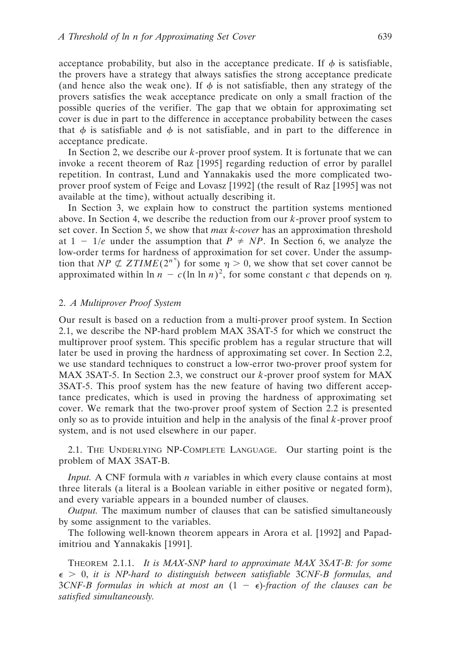acceptance probability, but also in the acceptance predicate. If  $\phi$  is satisfiable, the provers have a strategy that always satisfies the strong acceptance predicate (and hence also the weak one). If  $\phi$  is not satisfiable, then any strategy of the provers satisfies the weak acceptance predicate on only a small fraction of the possible queries of the verifier. The gap that we obtain for approximating set cover is due in part to the difference in acceptance probability between the cases that  $\phi$  is satisfiable and  $\phi$  is not satisfiable, and in part to the difference in acceptance predicate.

In Section 2, we describe our *k*-prover proof system. It is fortunate that we can invoke a recent theorem of Raz [1995] regarding reduction of error by parallel repetition. In contrast, Lund and Yannakakis used the more complicated twoprover proof system of Feige and Lovasz [1992] (the result of Raz [1995] was not available at the time), without actually describing it.

In Section 3, we explain how to construct the partition systems mentioned above. In Section 4, we describe the reduction from our *k*-prover proof system to set cover. In Section 5, we show that *max k-cover* has an approximation threshold at  $1 - 1/e$  under the assumption that  $P \neq NP$ . In Section 6, we analyze the low-order terms for hardness of approximation for set cover. Under the assumption that  $NP \not\subset ZTIME(2^{n^{\eta}})$  for some  $\eta > 0$ , we show that set cover cannot be approximated within  $\ln n - c(\ln \ln n)^2$ , for some constant *c* that depends on  $\eta$ .

# 2. *A Multiprover Proof System*

Our result is based on a reduction from a multi-prover proof system. In Section 2.1, we describe the NP-hard problem MAX 3SAT-5 for which we construct the multiprover proof system. This specific problem has a regular structure that will later be used in proving the hardness of approximating set cover. In Section 2.2, we use standard techniques to construct a low-error two-prover proof system for MAX 3SAT-5. In Section 2.3, we construct our *k*-prover proof system for MAX 3SAT-5. This proof system has the new feature of having two different acceptance predicates, which is used in proving the hardness of approximating set cover. We remark that the two-prover proof system of Section 2.2 is presented only so as to provide intuition and help in the analysis of the final *k*-prover proof system, and is not used elsewhere in our paper.

2.1. THE UNDERLYING NP-COMPLETE LANGUAGE. Our starting point is the problem of MAX 3SAT-B.

*Input.* A CNF formula with *n* variables in which every clause contains at most three literals (a literal is a Boolean variable in either positive or negated form), and every variable appears in a bounded number of clauses.

*Output.* The maximum number of clauses that can be satisfied simultaneously by some assignment to the variables.

The following well-known theorem appears in Arora et al. [1992] and Papadimitriou and Yannakakis [1991].

THEOREM 2.1.1. *It is MAX*-*SNP hard to approximate MAX* 3*SAT-B: for some*  $\epsilon > 0$ , *it is NP-hard to distinguish between satisfiable 3CNF-B formulas, and* 3CNF-B formulas in which at most an  $(1 - \epsilon)$ -fraction of the clauses can be *satisfied simultaneously.*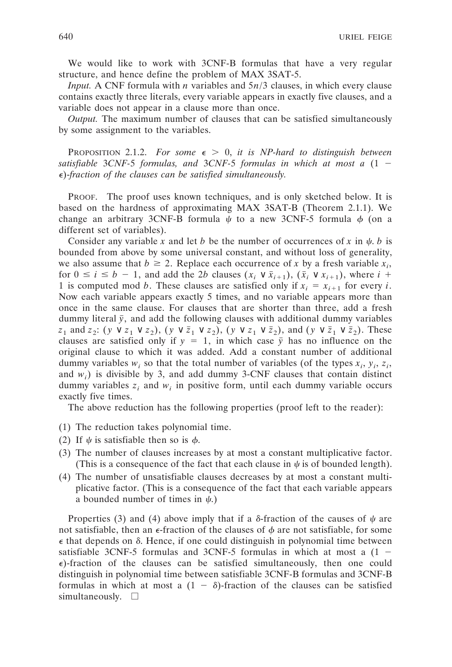We would like to work with 3CNF-B formulas that have a very regular structure, and hence define the problem of MAX 3SAT-5.

*Input.* A CNF formula with *n* variables and 5*n*/3 clauses, in which every clause contains exactly three literals, every variable appears in exactly five clauses, and a variable does not appear in a clause more than once.

*Output.* The maximum number of clauses that can be satisfied simultaneously by some assignment to the variables.

**PROPOSITION** 2.1.2. *For some*  $\epsilon > 0$ , *it is NP-hard to distinguish between*  $satisfiable 3CNF-5$  *formulas, and*  $3CNF-5$  *formulas in which at most a*  $(1$ <sup>e</sup>)-*fraction of the clauses can be satisfied simultaneously.*

PROOF. The proof uses known techniques, and is only sketched below. It is based on the hardness of approximating MAX 3SAT-B (Theorem 2.1.1). We change an arbitrary 3CNF-B formula  $\psi$  to a new 3CNF-5 formula  $\phi$  (on a different set of variables).

Consider any variable x and let b be the number of occurrences of x in  $\psi$ . b is bounded from above by some universal constant, and without loss of generality, we also assume that  $b \ge 2$ . Replace each occurrence of *x* by a fresh variable  $x_i$ , for  $0 \le i \le b - 1$ , and add the 2*b* clauses  $(x_i \vee \overline{x}_{i+1}), (\overline{x}_i \vee x_{i+1}),$  where  $i +$ 1 is computed mod *b*. These clauses are satisfied only if  $x_i = x_{i+1}$  for every *i*. Now each variable appears exactly 5 times, and no variable appears more than once in the same clause. For clauses that are shorter than three, add a fresh dummy literal  $\bar{y}$ , and add the following clauses with additional dummy variables *z*<sub>1</sub> and *z*<sub>2</sub>: ( $y \vee z_1 \vee z_2$ ), ( $y \vee \overline{z_1} \vee z_2$ ), ( $y \vee z_1 \vee \overline{z_2}$ ), and ( $y \vee \overline{z_1} \vee \overline{z_2}$ ). These clauses are satisfied only if  $y = 1$ , in which case  $\bar{y}$  has no influence on the original clause to which it was added. Add a constant number of additional dummy variables  $w_i$  so that the total number of variables (of the types  $x_i$ ,  $y_i$ ,  $z_i$ , and  $w_i$ ) is divisible by 3, and add dummy 3-CNF clauses that contain distinct dummy variables  $z_i$  and  $w_i$  in positive form, until each dummy variable occurs exactly five times.

The above reduction has the following properties (proof left to the reader):

- (1) The reduction takes polynomial time.
- (2) If  $\psi$  is satisfiable then so is  $\phi$ .
- (3) The number of clauses increases by at most a constant multiplicative factor. (This is a consequence of the fact that each clause in  $\psi$  is of bounded length).
- (4) The number of unsatisfiable clauses decreases by at most a constant multiplicative factor. (This is a consequence of the fact that each variable appears a bounded number of times in  $\psi$ .)

Properties (3) and (4) above imply that if a  $\delta$ -fraction of the causes of  $\psi$  are not satisfiable, then an  $\epsilon$ -fraction of the clauses of  $\phi$  are not satisfiable, for some  $\epsilon$  that depends on  $\delta$ . Hence, if one could distinguish in polynomial time between satisfiable 3CNF-5 formulas and 3CNF-5 formulas in which at most a  $(1 \epsilon$ )-fraction of the clauses can be satisfied simultaneously, then one could distinguish in polynomial time between satisfiable 3CNF-B formulas and 3CNF-B formulas in which at most a  $(1 - \delta)$ -fraction of the clauses can be satisfied simultaneously.  $\square$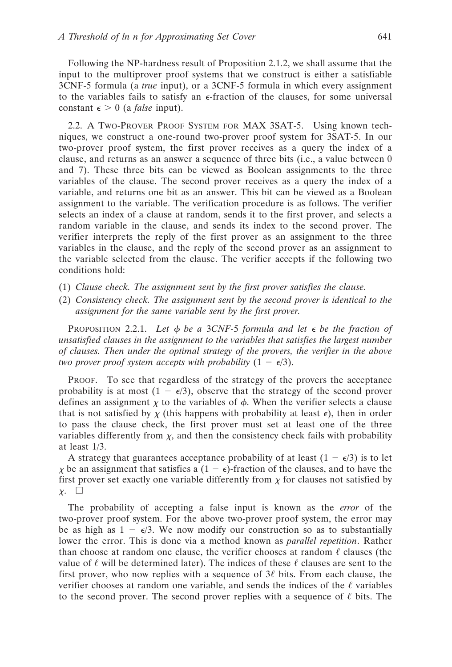Following the NP-hardness result of Proposition 2.1.2, we shall assume that the input to the multiprover proof systems that we construct is either a satisfiable 3CNF-5 formula (a *true* input), or a 3CNF-5 formula in which every assignment to the variables fails to satisfy an  $\epsilon$ -fraction of the clauses, for some universal constant  $\epsilon > 0$  (a *false* input).

2.2. A TWO-PROVER PROOF SYSTEM FOR MAX 3SAT-5. Using known techniques, we construct a one-round two-prover proof system for 3SAT-5. In our two-prover proof system, the first prover receives as a query the index of a clause, and returns as an answer a sequence of three bits (i.e., a value between 0 and 7). These three bits can be viewed as Boolean assignments to the three variables of the clause. The second prover receives as a query the index of a variable, and returns one bit as an answer. This bit can be viewed as a Boolean assignment to the variable. The verification procedure is as follows. The verifier selects an index of a clause at random, sends it to the first prover, and selects a random variable in the clause, and sends its index to the second prover. The verifier interprets the reply of the first prover as an assignment to the three variables in the clause, and the reply of the second prover as an assignment to the variable selected from the clause. The verifier accepts if the following two conditions hold:

- (1) *Clause check. The assignment sent by the first prover satisfies the clause.*
- (2) *Consistency check. The assignment sent by the second prover is identical to the assignment for the same variable sent by the first prover.*

PROPOSITION 2.2.1. Let  $\phi$  be a 3CNF-5 formula and let  $\epsilon$  be the fraction of *unsatisfied clauses in the assignment to the variables that satisfies the largest number of clauses. Then under the optimal strategy of the provers, the verifier in the above two prover proof system accepts with probability*  $(1 - \epsilon/3)$ .

PROOF. To see that regardless of the strategy of the provers the acceptance probability is at most  $(1 - \epsilon/3)$ , observe that the strategy of the second prover defines an assignment  $\chi$  to the variables of  $\phi$ . When the verifier selects a clause that is not satisfied by  $\chi$  (this happens with probability at least  $\epsilon$ ), then in order to pass the clause check, the first prover must set at least one of the three variables differently from  $\chi$ , and then the consistency check fails with probability at least 1/3.

A strategy that guarantees acceptance probability of at least  $(1 - \epsilon/3)$  is to let  $\chi$  be an assignment that satisfies a  $(1 - \epsilon)$ -fraction of the clauses, and to have the first prover set exactly one variable differently from  $\chi$  for clauses not satisfied by  $\chi$ .  $\Box$ 

The probability of accepting a false input is known as the *error* of the two-prover proof system. For the above two-prover proof system, the error may be as high as  $1 - \epsilon/3$ . We now modify our construction so as to substantially lower the error. This is done via a method known as *parallel repetition*. Rather than choose at random one clause, the verifier chooses at random  $\ell$  clauses (the value of  $\ell$  will be determined later). The indices of these  $\ell$  clauses are sent to the first prover, who now replies with a sequence of  $3\ell$  bits. From each clause, the verifier chooses at random one variable, and sends the indices of the  $\ell$  variables to the second prover. The second prover replies with a sequence of  $\ell$  bits. The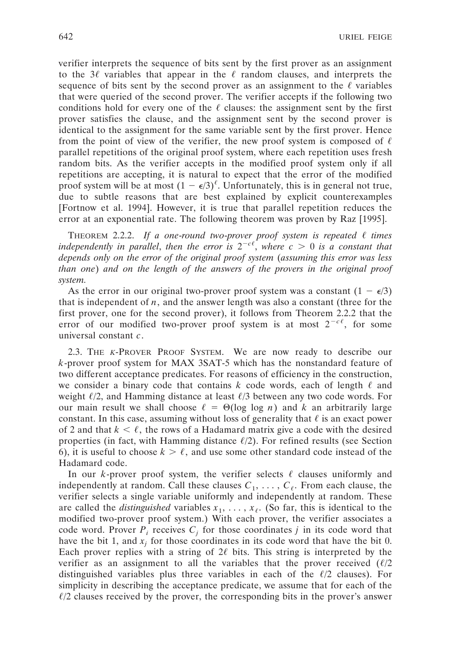verifier interprets the sequence of bits sent by the first prover as an assignment to the 3 $\ell$  variables that appear in the  $\ell$  random clauses, and interprets the sequence of bits sent by the second prover as an assignment to the  $\ell$  variables that were queried of the second prover. The verifier accepts if the following two conditions hold for every one of the  $\ell$  clauses: the assignment sent by the first prover satisfies the clause, and the assignment sent by the second prover is identical to the assignment for the same variable sent by the first prover. Hence from the point of view of the verifier, the new proof system is composed of  $\ell$ parallel repetitions of the original proof system, where each repetition uses fresh random bits. As the verifier accepts in the modified proof system only if all repetitions are accepting, it is natural to expect that the error of the modified proof system will be at most  $(1 - \epsilon/3)^{\ell}$ . Unfortunately, this is in general not true, due to subtle reasons that are best explained by explicit counterexamples [Fortnow et al. 1994]. However, it is true that parallel repetition reduces the error at an exponential rate. The following theorem was proven by Raz [1995].

THEOREM 2.2.2. If a one-round two-prover proof system is repeated  $\ell$  times *independently in parallel, then the error is*  $2^{-c\ell}$ , *where*  $c > 0$  *is a constant that depends only on the error of the original proof system* (*assuming this error was less than one*) *and on the length of the answers of the provers in the original proof system.*

As the error in our original two-prover proof system was a constant  $(1 - \epsilon/3)$ that is independent of *n*, and the answer length was also a constant (three for the first prover, one for the second prover), it follows from Theorem 2.2.2 that the error of our modified two-prover proof system is at most  $2^{-c\ell}$ , for some universal constant *c*.

2.3. THE *K*-PROVER PROOF SYSTEM. We are now ready to describe our *k*-prover proof system for MAX 3SAT-5 which has the nonstandard feature of two different acceptance predicates. For reasons of efficiency in the construction, we consider a binary code that contains  $k$  code words, each of length  $\ell$  and weight  $\ell/2$ , and Hamming distance at least  $\ell/3$  between any two code words. For our main result we shall choose  $\ell = \Theta(\log \log n)$  and *k* an arbitrarily large constant. In this case, assuming without loss of generality that  $\ell$  is an exact power of 2 and that  $k < \ell$ , the rows of a Hadamard matrix give a code with the desired properties (in fact, with Hamming distance  $\ell/2$ ). For refined results (see Section 6), it is useful to choose  $k > \ell$ , and use some other standard code instead of the Hadamard code.

In our  $k$ -prover proof system, the verifier selects  $\ell$  clauses uniformly and independently at random. Call these clauses  $C_1, \ldots, C_\ell$ . From each clause, the verifier selects a single variable uniformly and independently at random. These are called the *distinguished* variables  $x_1, \ldots, x_\ell$ . (So far, this is identical to the modified two-prover proof system.) With each prover, the verifier associates a code word. Prover  $P_i$  receives  $C_j$  for those coordinates *j* in its code word that have the bit 1, and  $x_i$  for those coordinates in its code word that have the bit 0. Each prover replies with a string of  $2\ell$  bits. This string is interpreted by the verifier as an assignment to all the variables that the prover received  $(\ell/2)$ distinguished variables plus three variables in each of the  $\ell/2$  clauses). For simplicity in describing the acceptance predicate, we assume that for each of the  $\ell/2$  clauses received by the prover, the corresponding bits in the prover's answer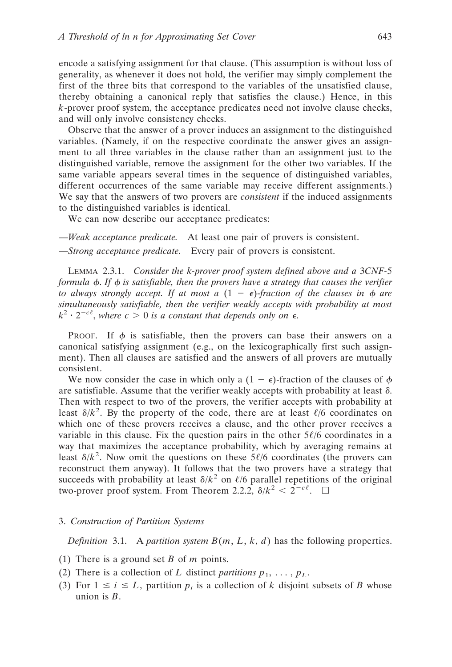encode a satisfying assignment for that clause. (This assumption is without loss of generality, as whenever it does not hold, the verifier may simply complement the first of the three bits that correspond to the variables of the unsatisfied clause, thereby obtaining a canonical reply that satisfies the clause.) Hence, in this *k*-prover proof system, the acceptance predicates need not involve clause checks, and will only involve consistency checks.

Observe that the answer of a prover induces an assignment to the distinguished variables. (Namely, if on the respective coordinate the answer gives an assignment to all three variables in the clause rather than an assignment just to the distinguished variable, remove the assignment for the other two variables. If the same variable appears several times in the sequence of distinguished variables, different occurrences of the same variable may receive different assignments.) We say that the answers of two provers are *consistent* if the induced assignments to the distinguished variables is identical.

We can now describe our acceptance predicates:

—*Weak acceptance predicate.* At least one pair of provers is consistent.

—*Strong acceptance predicate.* Every pair of provers is consistent.

LEMMA 2.3.1. *Consider the k-prover proof system defined above and a* 3*CNF-*5 *formula*  $\phi$ . If  $\phi$  *is satisfiable, then the provers have a strategy that causes the verifier to always strongly accept. If at most a*  $(1 - \epsilon)$ -*fraction of the clauses in*  $\phi$  *are simultaneously satisfiable, then the verifier weakly accepts with probability at most*  $k^2 \cdot 2^{-c\ell}$ , *where*  $c > 0$  *is a constant that depends only on*  $\epsilon$ .

PROOF. If  $\phi$  is satisfiable, then the provers can base their answers on a canonical satisfying assignment (e.g., on the lexicographically first such assignment). Then all clauses are satisfied and the answers of all provers are mutually consistent.

We now consider the case in which only a  $(1 - \epsilon)$ -fraction of the clauses of  $\phi$ are satisfiable. Assume that the verifier weakly accepts with probability at least  $\delta$ . Then with respect to two of the provers, the verifier accepts with probability at least  $\delta/k^2$ . By the property of the code, there are at least  $\ell/6$  coordinates on which one of these provers receives a clause, and the other prover receives a variable in this clause. Fix the question pairs in the other  $5\ell/6$  coordinates in a way that maximizes the acceptance probability, which by averaging remains at least  $\delta/k^2$ . Now omit the questions on these  $5\ell/6$  coordinates (the provers can reconstruct them anyway). It follows that the two provers have a strategy that succeeds with probability at least  $\delta/k^2$  on  $\ell/6$  parallel repetitions of the original two-prover proof system. From Theorem 2.2.2,  $\delta/k^2 < 2^{-c\ell}$ .  $\Box$ 

#### 3. *Construction of Partition Systems*

*Definition* 3.1. A *partition system*  $B(m, L, k, d)$  *has the following properties.* 

- (1) There is a ground set *B* of *m* points.
- (2) There is a collection of *L* distinct *partitions*  $p_1, \ldots, p_L$ .
- (3) For  $1 \le i \le L$ , partition  $p_i$  is a collection of *k* disjoint subsets of *B* whose union is *B*.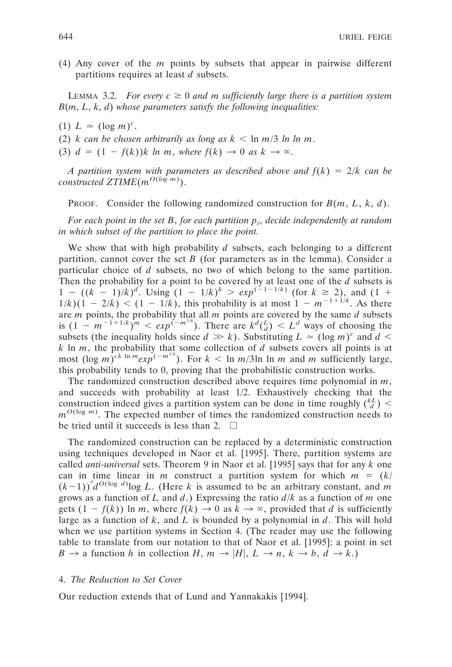(4) Any cover of the *m* points by subsets that appear in pairwise different partitions requires at least *d* subsets.

LEMMA 3.2. *For every c*  $\geq 0$  *and m sufficiently large there is a partition system B*(*m*, *L*, *k*, *d*) *whose parameters satisfy the following inequalities:*

- (1)  $L \approx (\log m)^c$ .
- (2) *k* can be chosen arbitrarily as long as  $k < \ln m/3$  ln ln m.
- (3)  $d = (1 f(k))k \ln m$ , where  $f(k) \rightarrow 0$  as  $k \rightarrow \infty$ .

*A partition system with parameters as described above and*  $f(k) = 2/k$  can be *constructed ZTIME*(*mO*(*log m*) ).

PROOF. Consider the following randomized construction for *B*(*m*, *L*, *k*, *d*).

For each point in the set B, for each partition  $p_i$ , decide independently at random *in which subset of the partition to place the point.*

We show that with high probability *d* subsets, each belonging to a different partition, cannot cover the set *B* (for parameters as in the lemma). Consider a particular choice of *d* subsets, no two of which belong to the same partition. Then the probability for a point to be covered by at least one of the *d* subsets is  $1 - ((k - 1)/k)^d$ . Using  $(1 - 1/k)^k > exp^{(-1-1/k)}$  (for  $k \ge 2$ ), and  $(1 +$  $1/k(1 - 2/k) < (1 - 1/k)$ , this probability is at most  $1 - m^{-1+1/k}$ . As there are *m* points, the probability that all *m* points are covered by the same *d* subsets is  $(1 - m^{-1+1/k})^m < exp^{(-m^{1/k})}$ . There are  $k^d(\frac{L}{d}) < L^d$  ways of choosing the subsets (the inequality holds since  $d \gg k$ ). Substituting  $L \approx (\log m)^c$  and  $d <$ *k* ln *m*, the probability that some collection of *d* subsets covers all points is at most  $(\log m)^{ck \ln m} exp^{(-m^{1/k}})$ . For  $k < \ln m/3$ ln  $\ln m$  and  $m$  sufficiently large, this probability tends to 0, proving that the probabilistic construction works.

The randomized construction described above requires time polynomial in *m*, and succeeds with probability at least 1/2. Exhaustively checking that the construction indeed gives a partition system can be done in time roughly  $\binom{k}{d}$ *m*<sup>*O*(log *m*). The expected number of times the randomized construction needs to</sup> be tried until it succeeds is less than 2.

The randomized construction can be replaced by a deterministic construction using techniques developed in Naor et al. [1995]. There, partition systems are called *anti-universal* sets. Theorem 9 in Naor et al. [1995] says that for any *k* one can in time linear in *m* construct a partition system for which  $m = (k)$  $(k-1)$ <sup>d</sup> $d^{O(\log d)}$ log *L*. (Here *k* is assumed to be an arbitrary constant, and *m* grows as a function of L and d.) Expressing the ratio  $d/k$  as a function of m one gets  $(1 - f(k))$  ln *m*, where  $f(k) \to 0$  as  $k \to \infty$ , provided that *d* is sufficiently large as a function of *k*, and *L* is bounded by a polynomial in *d*. This will hold when we use partition systems in Section 4. (The reader may use the following table to translate from our notation to that of Naor et al. [1995]: a point in set  $B \rightarrow a$  function *h* in collection *H*,  $m \rightarrow |H|$ ,  $L \rightarrow n$ ,  $k \rightarrow b$ ,  $d \rightarrow k$ .)

#### 4. *The Reduction to Set Cover*

Our reduction extends that of Lund and Yannakakis [1994].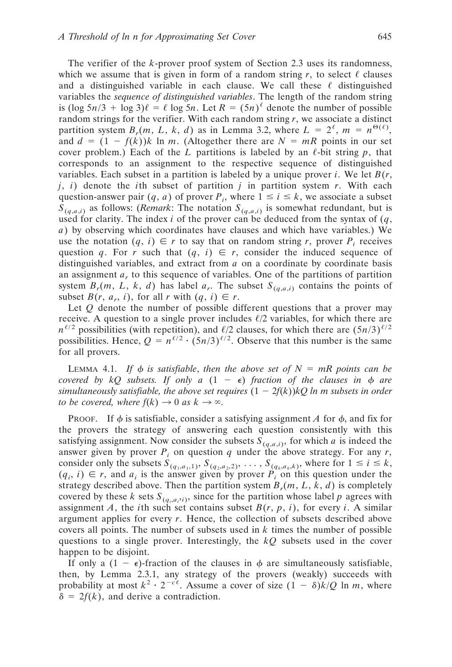The verifier of the *k*-prover proof system of Section 2.3 uses its randomness, which we assume that is given in form of a random string  $r$ , to select  $\ell$  clauses and a distinguished variable in each clause. We call these  $\ell$  distinguished variables the *sequence of distinguished variables*. The length of the random string is  $(\log 5n/3 + \log 3)\ell = \ell \log 5n$ . Let  $R = (5n)^{\ell}$  denote the number of possible random strings for the verifier. With each random string *r*, we associate a distinct partition system  $B_r(m, L, k, d)$  as in Lemma 3.2, where  $L = 2^{\ell}, m = n^{\Theta(\ell)}$ , and  $d = (1 - f(k))k \ln m$ . (Altogether there are  $N = mR$  points in our set cover problem.) Each of the L partitions is labeled by an  $\ell$ -bit string p, that corresponds to an assignment to the respective sequence of distinguished variables. Each subset in a partition is labeled by a unique prover *i*. We let  $B(r, r)$  $j$ ,  $i$ ) denote the *i*th subset of partition *j* in partition system *r*. With each question-answer pair  $(q, a)$  of prover  $P_i$ , where  $1 \le i \le k$ , we associate a subset  $S$ <sub>(*q*,*a*,*i*)</sub> as follows: (*Remark*: The notation  $S$ <sub>(*q*,*a*,*i*)</sub> is somewhat redundant, but is used for clarity. The index *i* of the prover can be deduced from the syntax of (*q*, *a*) by observing which coordinates have clauses and which have variables.) We use the notation  $(q, i) \in r$  to say that on random string *r*, prover  $P_i$  receives question *q*. For *r* such that  $(q, i) \in r$ , consider the induced sequence of distinguished variables, and extract from *a* on a coordinate by coordinate basis an assignment  $a_r$  to this sequence of variables. One of the partitions of partition system  $B_r(m, L, k, d)$  has label  $a_r$ . The subset  $S_{(a,a,i)}$  contains the points of subset  $B(r, a_r, i)$ , for all *r* with  $(q, i) \in r$ .

Let *Q* denote the number of possible different questions that a prover may receive. A question to a single prover includes  $\ell/2$  variables, for which there are  $n^{l/2}$  possibilities (with repetition), and  $l/2$  clauses, for which there are  $(5n/3)^{l/2}$ possibilities. Hence,  $Q = n^{\ell/2} \cdot (5n/3)^{\ell/2}$ . Observe that this number is the same for all provers.

LEMMA 4.1. If  $\phi$  is satisfiable, then the above set of  $N = mR$  points can be *covered by kQ subsets. If only a*  $(1 - \epsilon)$  *fraction of the clauses in*  $\phi$  *are simultaneously satisfiable, the above set requires*  $(1 - 2f(k))kO$  *ln m subsets in order to be covered, where*  $f(k) \rightarrow 0$  *as*  $k \rightarrow \infty$ .

PROOF. If  $\phi$  is satisfiable, consider a satisfying assignment *A* for  $\phi$ , and fix for the provers the strategy of answering each question consistently with this satisfying assignment. Now consider the subsets  $S_{(q,a,i)}$ , for which *a* is indeed the answer given by prover  $P_i$  on question  $q$  under the above strategy. For any  $r$ , consider only the subsets  $S_{(q_1, a_1, 1)}$ ,  $S_{(q_2, a_2, 2)}$ , ...,  $S_{(q_k, a_k, k)}$ , where for  $1 \le i \le k$ ,  $(q_i, i) \in r$ , and  $a_i$  is the answer given by prover  $P_i$  on this question under the strategy described above. Then the partition system  $B_r(m, L, k, d)$  is completely covered by these *k* sets  $S_{(q_i, a_i)}$ , since for the partition whose label *p* agrees with assignment *A*, the *i*th such set contains subset  $B(r, p, i)$ , for every *i*. A similar argument applies for every *r*. Hence, the collection of subsets described above covers all points. The number of subsets used in *k* times the number of possible questions to a single prover. Interestingly, the *kQ* subsets used in the cover happen to be disjoint.

If only a  $(1 - \epsilon)$ -fraction of the clauses in  $\phi$  are simultaneously satisfiable, then, by Lemma 2.3.1, any strategy of the provers (weakly) succeeds with probability at most  $k^2 \cdot 2^{-c\ell}$ . Assume a cover of size  $(1 - \delta)k/Q$  ln *m*, where  $\delta = 2f(k)$ , and derive a contradiction.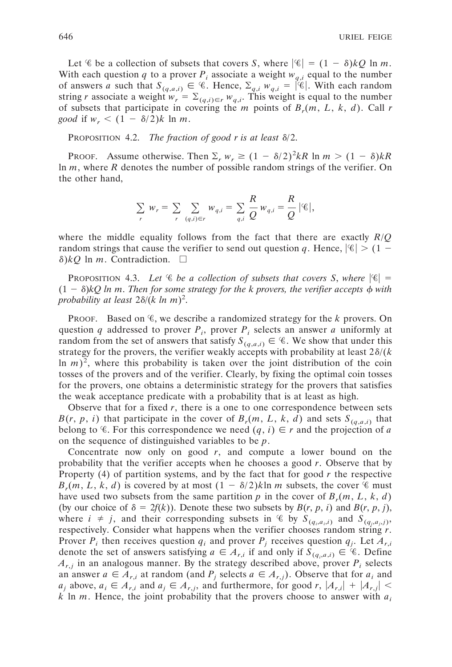Let  $\&$  be a collection of subsets that covers *S*, where  $|\&| = (1 - \delta)kQ \ln m$ . With each question *q* to a prover  $P_i$  associate a weight  $w_{q,i}$  equal to the number of answers *a* such that  $S_{(q,a,i)} \in \mathcal{C}$ . Hence,  $\Sigma_{q,i} w_{q,i} = |\mathcal{C}|$ . With each random string *r* associate a weight  $w_r = \sum_{(q,i) \in r} w_{q,i}$ . This weight is equal to the number of subsets that participate in covering the *m* points of  $B_r(m, L, k, d)$ . Call *r good* if  $w_r < (1 - \delta/2)k \ln m$ .

PROPOSITION 4.2. *The fraction of good r is at least*  $\delta/2$ .

PROOF. Assume otherwise. Then  $\Sigma_r w_r \ge (1 - \delta/2)^2 kR \ln m > (1 - \delta)kR$ ln *m*, where *R* denotes the number of possible random strings of the verifier. On the other hand,

$$
\sum_{r} w_r = \sum_{r} \sum_{(q,i) \in r} w_{q,i} = \sum_{q,i} \frac{R}{Q} w_{q,i} = \frac{R}{Q} |\mathscr{C}|,
$$

where the middle equality follows from the fact that there are exactly *R*/*Q* random strings that cause the verifier to send out question *q*. Hence,  $|\mathscr{C}| > (1 \delta$ *kO* ln *m*. Contradiction.  $\square$ 

**PROPOSITION 4.3.** Let  $\&$  be a collection of subsets that covers S, where  $|\&|$  =  $(1 - \delta)kQ$  ln m. Then for some strategy for the k provers, the verifier accepts  $\phi$  with probability at least  $2\delta/(k \ln m)^2$ .

PROOF. Based on  $\mathscr{C}$ , we describe a randomized strategy for the  $k$  provers. On question *q* addressed to prover  $P_i$ , prover  $P_i$  selects an answer *a* uniformly at random from the set of answers that satisfy  $S_{(q,a,i)} \in \mathcal{C}$ . We show that under this strategy for the provers, the verifier weakly accepts with probability at least  $2\delta/(k)$ In  $m^2$ , where this probability is taken over the joint distribution of the coin tosses of the provers and of the verifier. Clearly, by fixing the optimal coin tosses for the provers, one obtains a deterministic strategy for the provers that satisfies the weak acceptance predicate with a probability that is at least as high.

Observe that for a fixed *r*, there is a one to one correspondence between sets *B*(*r*, *p*, *i*) that participate in the cover of *B<sub>r</sub>*(*m*, *L*, *k*, *d*) and sets  $S$ <sub>(*q*,*a*,*i*)</sub> that belong to  $\mathscr C$ . For this correspondence we need  $(q, i) \in r$  and the projection of *a* on the sequence of distinguished variables to be *p*.

Concentrate now only on good *r*, and compute a lower bound on the probability that the verifier accepts when he chooses a good *r*. Observe that by Property (4) of partition systems, and by the fact that for good *r* the respective  $B_r(m, L, k, d)$  is covered by at most  $(1 - \delta/2)$ *kln m* subsets, the cover  $\mathscr{C}$  must have used two subsets from the same partition p in the cover of  $B_r(m, L, k, d)$ (by our choice of  $\delta = 2f(k)$ ). Denote these two subsets by  $B(r, p, i)$  and  $B(r, p, j)$ , where  $i \neq j$ , and their corresponding subsets in  $\mathscr{C}$  by  $S_{(q_i, a_i, i)}$  and  $S_{(q_i, a_j, j)}$ , respectively. Consider what happens when the verifier chooses random string *r*. Prover  $P_i$  then receives question  $q_i$  and prover  $P_j$  receives question  $q_j$ . Let  $A_{r,i}$ denote the set of answers satisfying  $a \in A_{r,i}$  if and only if  $S_{(q_i, a,i)} \in \mathscr{C}$ . Define  $A_{r,i}$  in an analogous manner. By the strategy described above, prover  $P_i$  selects an answer  $a \in A_{r,i}$  at random (and  $P_j$  selects  $a \in A_{r,j}$ ). Observe that for  $a_i$  and *a<sub>j</sub>* above,  $a_i \in A_{r,i}$  and  $a_j \in A_{r,j}$ , and furthermore, for good *r*,  $|A_{r,i}| + |A_{r,j}| <$ *k* ln *m*. Hence, the joint probability that the provers choose to answer with  $a_i$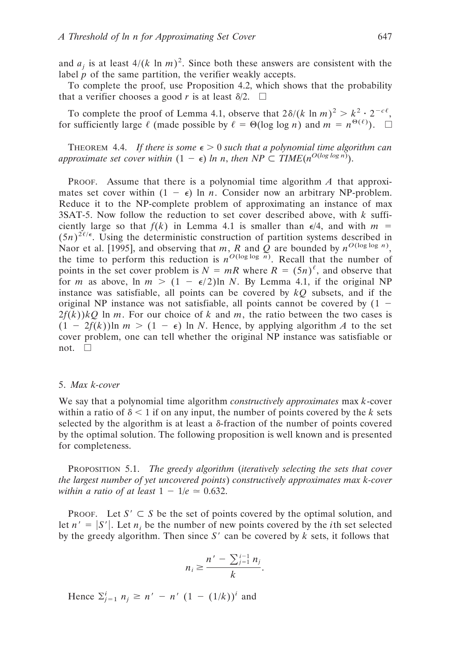and  $a_j$  is at least  $4/(k \ln m)^2$ . Since both these answers are consistent with the label  $p$  of the same partition, the verifier weakly accepts.

To complete the proof, use Proposition 4.2, which shows that the probability that a verifier chooses a good *r* is at least  $\delta/2$ .  $\Box$ 

To complete the proof of Lemma 4.1, observe that  $2\delta/(k \ln m)^2 > k^2 \cdot 2^{-c\ell}$ , for sufficiently large  $\ell$  (made possible by  $\ell = \Theta(\log \log n)$  and  $m = n^{\Theta(\ell)}$ ).  $\Box$ 

THEOREM 4.4. If there is some  $\epsilon > 0$  such that a polynomial time algorithm can *approximate set cover within*  $(1 - \epsilon)$  *ln n, then NP*  $\subset$  *TIME*(*n*<sup>*O*(*log log n*)</sup>).

PROOF. Assume that there is a polynomial time algorithm *A* that approximates set cover within  $(1 - \epsilon) \ln n$ . Consider now an arbitrary NP-problem. Reduce it to the NP-complete problem of approximating an instance of max 3SAT-5. Now follow the reduction to set cover described above, with *k* sufficiently large so that  $f(k)$  in Lemma 4.1 is smaller than  $\epsilon/4$ , and with  $m =$  $(5n)^{2\ell/\epsilon}$ . Using the deterministic construction of partition systems described in Naor et al. [1995], and observing that *m*, *R* and  $\hat{Q}$  are bounded by  $n^{O(\log \log n)}$ , the time to perform this reduction is  $n^{O(\log \log n)}$ . Recall that the number of points in the set cover problem is  $N = mR$  where  $R = (5n)^{\ell}$ , and observe that for *m* as above,  $\ln m > (1 - \epsilon/2) \ln N$ . By Lemma 4.1, if the original NP instance was satisfiable, all points can be covered by *kQ* subsets, and if the original NP instance was not satisfiable, all points cannot be covered by  $(1 2f(k)$ ) $kQ$  ln *m*. For our choice of *k* and *m*, the ratio between the two cases is  $(1 - 2f(k))\ln m > (1 - \epsilon) \ln N$ . Hence, by applying algorithm *A* to the set cover problem, one can tell whether the original NP instance was satisfiable or not.  $\square$ 

#### 5. *Max k-cover*

We say that a polynomial time algorithm *constructively approximates* max *k*-cover within a ratio of  $\delta$  < 1 if on any input, the number of points covered by the *k* sets selected by the algorithm is at least a  $\delta$ -fraction of the number of points covered by the optimal solution. The following proposition is well known and is presented for completeness.

PROPOSITION 5.1. *The greedy algorithm* (*iteratively selecting the sets that cover the largest number of yet uncovered points*) *constructively approximates max k-cover within a ratio of at least*  $1 - 1/e \approx 0.632$ .

PROOF. Let  $S' \subset S$  be the set of points covered by the optimal solution, and let  $n' = |S'|$ . Let  $n_i$  be the number of new points covered by the *i*th set selected by the greedy algorithm. Then since  $S<sup>3</sup>$  can be covered by  $k$  sets, it follows that

$$
n_i \geq \frac{n'-\sum_{j=1}^{i-1} n_j}{k}.
$$

Hence  $\Sigma_{j=1}^{i} n_j \ge n' - n' (1 - (1/k))^i$  and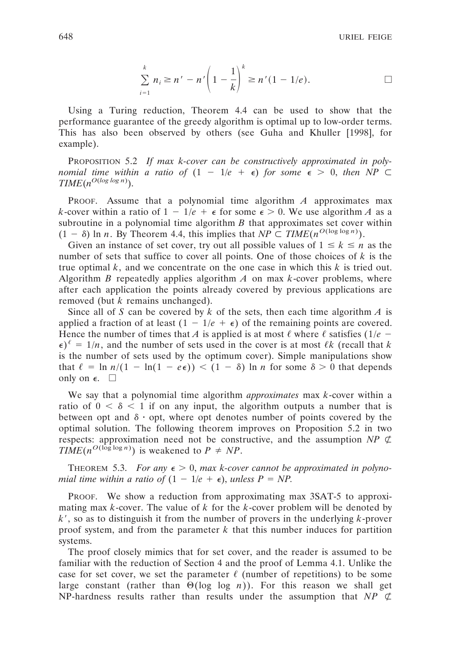$$
\sum_{i=1}^{k} n_i \ge n' - n' \left( 1 - \frac{1}{k} \right)^{k} \ge n' (1 - 1/e).
$$

Using a Turing reduction, Theorem 4.4 can be used to show that the performance guarantee of the greedy algorithm is optimal up to low-order terms. This has also been observed by others (see Guha and Khuller [1998], for example).

PROPOSITION 5.2 *If max k-cover can be constructively approximated in polynomial time within a ratio of*  $(1 - 1/e + \epsilon)$  *for some*  $\epsilon > 0$ , *then* NP  $\subset$  $TIME(n^{O(log log n)})$ .

PROOF. Assume that a polynomial time algorithm *A* approximates max *k*-cover within a ratio of  $1 - 1/e + \epsilon$  for some  $\epsilon > 0$ . We use algorithm *A* as a subroutine in a polynomial time algorithm  $B$  that approximates set cover within  $(1 - \delta)$  ln *n*. By Theorem 4.4, this implies that  $NP \subset TIME(n^{O(\log \log n)})$ .

Given an instance of set cover, try out all possible values of  $1 \leq k \leq n$  as the number of sets that suffice to cover all points. One of those choices of *k* is the true optimal *k*, and we concentrate on the one case in which this *k* is tried out. Algorithm *B* repeatedly applies algorithm  $\vec{A}$  on max  $\vec{k}$ -cover problems, where after each application the points already covered by previous applications are removed (but *k* remains unchanged).

Since all of *S* can be covered by *k* of the sets, then each time algorithm *A* is applied a fraction of at least  $(1 - 1/e + \epsilon)$  of the remaining points are covered. Hence the number of times that *A* is applied is at most  $\ell$  where  $\ell$  satisfies (1/*e* –  $\epsilon$ <sup> $\ell$ </sup> = 1/*n*, and the number of sets used in the cover is at most  $\ell k$  (recall that *k* is the number of sets used by the optimum cover). Simple manipulations show that  $\ell = \ln n/(1 - \ln(1 - e\epsilon)) < (1 - \delta) \ln n$  for some  $\delta > 0$  that depends only on  $\epsilon$ .  $\Box$ 

We say that a polynomial time algorithm *approximates* max *k*-cover within a ratio of  $0 < \delta < 1$  if on any input, the algorithm outputs a number that is between opt and  $\delta$  · opt, where opt denotes number of points covered by the optimal solution. The following theorem improves on Proposition 5.2 in two respects: approximation need not be constructive, and the assumption  $NP \not\subset$ *TIME*( $n^{O(\log \log n)}$ ) is weakened to  $P \neq NP$ .

THEOREM 5.3. *For any*  $\epsilon > 0$ , *max k-cover cannot be approximated in polynomial time within a ratio of*  $(1 - 1/e + \epsilon)$ , *unless P = NP.* 

PROOF. We show a reduction from approximating max 3SAT-5 to approximating max *k*-cover. The value of *k* for the *k*-cover problem will be denoted by *k*9, so as to distinguish it from the number of provers in the underlying *k*-prover proof system, and from the parameter *k* that this number induces for partition systems.

The proof closely mimics that for set cover, and the reader is assumed to be familiar with the reduction of Section 4 and the proof of Lemma 4.1. Unlike the case for set cover, we set the parameter  $\ell$  (number of repetitions) to be some large constant (rather than  $\Theta(\log \log n)$ ). For this reason we shall get NP-hardness results rather than results under the assumption that  $NP \not\subset$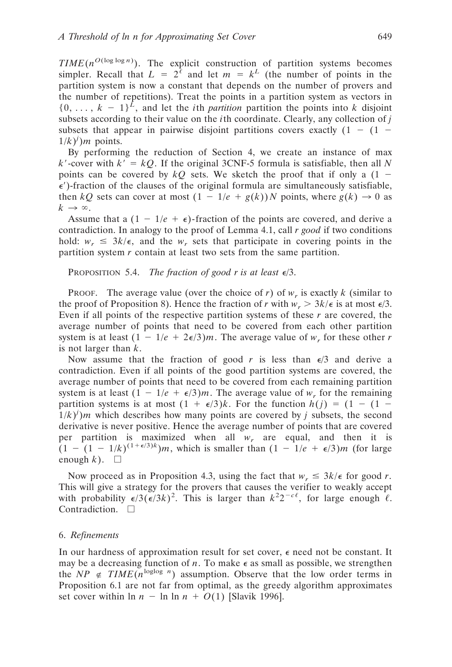$TIME(n^{O(\log \log n)})$ . The explicit construction of partition systems becomes simpler. Recall that  $L = 2^{\ell}$  and let  $m = k^{L}$  (the number of points in the partition system is now a constant that depends on the number of provers and the number of repetitions). Treat the points in a partition system as vectors in  $\{0, \ldots, k-1\}^L$ , and let the *i*th *partition* partition the points into *k* disjoint subsets according to their value on the *i*th coordinate. Clearly, any collection of *j* subsets that appear in pairwise disjoint partitions covers exactly  $(1 - (1 1/k$ <sup>*j*</sup>)*m* points.

By performing the reduction of Section 4, we create an instance of max  $k'$ -cover with  $k' = kQ$ . If the original 3CNF-5 formula is satisfiable, then all *N* points can be covered by  $kQ$  sets. We sketch the proof that if only a  $(1 \epsilon'$ )-fraction of the clauses of the original formula are simultaneously satisfiable, then *kQ* sets can cover at most  $(1 - 1/e + g(k))N$  points, where  $g(k) \rightarrow 0$  as  $k \rightarrow \infty$ .

Assume that a  $(1 - 1/e + \epsilon)$ -fraction of the points are covered, and derive a contradiction. In analogy to the proof of Lemma 4.1, call *r good* if two conditions hold:  $w_r \leq 3k/\epsilon$ , and the  $w_r$  sets that participate in covering points in the partition system *r* contain at least two sets from the same partition.

PROPOSITION 5.4. *The fraction of good r is at least*  $\epsilon/3$ .

**PROOF.** The average value (over the choice of r) of  $w_r$  is exactly k (similar to the proof of Proposition 8). Hence the fraction of *r* with  $w_r > 3k/\epsilon$  is at most  $\epsilon/3$ . Even if all points of the respective partition systems of these  $r$  are covered, the average number of points that need to be covered from each other partition system is at least  $(1 - 1/e + 2\epsilon/3)m$ . The average value of *w<sub>r</sub>* for these other *r* is not larger than *k*.

Now assume that the fraction of good *r* is less than  $\epsilon/3$  and derive a contradiction. Even if all points of the good partition systems are covered, the average number of points that need to be covered from each remaining partition system is at least  $(1 - 1/e + \epsilon/3)m$ . The average value of *w<sub>r</sub>* for the remaining partition systems is at most  $(1 + \epsilon/3)k$ . For the function  $h(j) = (1 - (1 (1/k)^j$ *m* which describes how many points are covered by *j* subsets, the second derivative is never positive. Hence the average number of points that are covered per partition is maximized when all *wr* are equal, and then it is  $(1 - (1 - 1/k)^{(1 + \epsilon/3)k})m$ , which is smaller than  $(1 - 1/e + \epsilon/3)m$  (for large enough  $k$ ).  $\square$ 

Now proceed as in Proposition 4.3, using the fact that  $w_r \leq 3k/\epsilon$  for good *r*. This will give a strategy for the provers that causes the verifier to weakly accept with probability  $\epsilon/3(\epsilon/3k)^2$ . This is larger than  $k^2 2^{-c\ell}$ , for large enough  $\ell$ . Contradiction.  $\Box$ 

## 6. *Refinements*

In our hardness of approximation result for set cover,  $\epsilon$  need not be constant. It may be a decreasing function of *n*. To make  $\epsilon$  as small as possible, we strengthen the  $NP \notin TIME(n^{\log \log n})$  assumption. Observe that the low order terms in Proposition 6.1 are not far from optimal, as the greedy algorithm approximates set cover within  $\ln n - \ln \ln n + O(1)$  [Slavik 1996].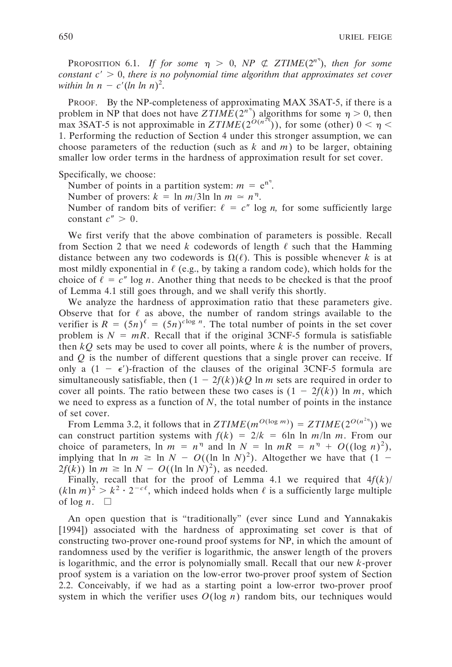PROPOSITION 6.1. *If for some*  $\eta > 0$ , *NP*  $\nsubseteq$  *ZTIME*(2<sup>*n*<sup>n</sup></sup>), *then for some constant*  $c' > 0$ *, there is no polynomial time algorithm that approximates set cover within*  $ln n - c'(ln ln n)^2$ .

PROOF. By the NP-completeness of approximating MAX 3SAT-5, if there is a problem in NP that does not have  $ZTIME(2^{n^{n}})$  algorithms for some  $\eta > 0$ , then max 3SAT-5 is not approximable in  $ZTIME(2^{O(n^{2\eta})})$ , for some (other)  $0 < \eta <$ 1. Performing the reduction of Section 4 under this stronger assumption, we can choose parameters of the reduction (such as  $k$  and  $m$ ) to be larger, obtaining smaller low order terms in the hardness of approximation result for set cover.

Specifically, we choose:

Number of points in a partition system:  $m = e^{n^{\eta}}$ .

Number of provers:  $k = \ln m/3 \ln \ln m \approx n^{\eta}$ .

Number of random bits of verifier:  $\ell = c^n \log n$ , for some sufficiently large constant  $c'' > 0$ .

We first verify that the above combination of parameters is possible. Recall from Section 2 that we need *k* codewords of length  $\ell$  such that the Hamming distance between any two codewords is  $\Omega(\ell)$ . This is possible whenever k is at most mildly exponential in  $\ell$  (e.g., by taking a random code), which holds for the choice of  $\ell = c'' \log n$ . Another thing that needs to be checked is that the proof of Lemma 4.1 still goes through, and we shall verify this shortly.

We analyze the hardness of approximation ratio that these parameters give. Observe that for  $\ell$  as above, the number of random strings available to the verifier is  $R = (5n)^e = (5n)^{c \log n}$ . The total number of points in the set cover problem is  $N = mR$ . Recall that if the original 3CNF-5 formula is satisfiable then  $kQ$  sets may be used to cover all points, where  $k$  is the number of provers, and *Q* is the number of different questions that a single prover can receive. If only a  $(1 - \epsilon')$ -fraction of the clauses of the original 3CNF-5 formula are simultaneously satisfiable, then  $(1 - 2f(k))kQ$  ln *m* sets are required in order to cover all points. The ratio between these two cases is  $(1 - 2f(k)) \ln m$ , which we need to express as a function of *N*, the total number of points in the instance of set cover.

From Lemma 3.2, it follows that in  $ZTIME(m^{O(\log m)}) = ZTIME(2^{O(n^2n)})$  we can construct partition systems with  $f(k) = 2/k = 6 \ln \ln m / \ln m$ . From our choice of parameters,  $\ln m = n^{\eta}$  and  $\ln N = \ln mR = n^{\eta} + O((\log n)^2)$ , implying that  $\ln m \ge \ln N - O((\ln \ln N)^2)$ . Altogether we have that  $(1 2f(k)$ ) ln  $m \ge \ln N - O((\ln \ln N)^2)$ , as needed.

Finally, recall that for the proof of Lemma 4.1 we required that  $4f(k)$  $(k \ln m)^2 > k^2 \cdot 2^{-c\ell}$ , which indeed holds when  $\ell$  is a sufficiently large multiple of  $\log n$ .  $\square$ 

An open question that is "traditionally" (ever since Lund and Yannakakis [1994]) associated with the hardness of approximating set cover is that of constructing two-prover one-round proof systems for NP, in which the amount of randomness used by the verifier is logarithmic, the answer length of the provers is logarithmic, and the error is polynomially small. Recall that our new *k*-prover proof system is a variation on the low-error two-prover proof system of Section 2.2. Conceivably, if we had as a starting point a low-error two-prover proof system in which the verifier uses  $O(\log n)$  random bits, our techniques would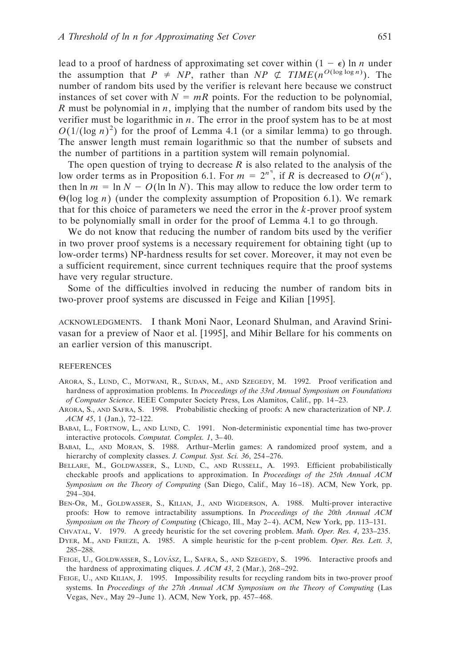lead to a proof of hardness of approximating set cover within  $(1 - \epsilon)$  ln *n* under the assumption that  $P \neq NP$ , rather than  $NP \not\subset TIME(n^{O(\log \log n)})$ . The number of random bits used by the verifier is relevant here because we construct instances of set cover with  $N = mR$  points. For the reduction to be polynomial, *R* must be polynomial in *n*, implying that the number of random bits used by the verifier must be logarithmic in  $n$ . The error in the proof system has to be at most  $O(1/(\log n)^2)$  for the proof of Lemma 4.1 (or a similar lemma) to go through. The answer length must remain logarithmic so that the number of subsets and the number of partitions in a partition system will remain polynomial.

The open question of trying to decrease  $R$  is also related to the analysis of the low order terms as in Proposition 6.1. For  $m = 2^{n^n}$ , if *R* is decreased to  $O(n^c)$ , then  $\ln m = \ln N - O(\ln \ln N)$ . This may allow to reduce the low order term to  $\Theta(\log \log n)$  (under the complexity assumption of Proposition 6.1). We remark that for this choice of parameters we need the error in the *k*-prover proof system to be polynomially small in order for the proof of Lemma 4.1 to go through.

We do not know that reducing the number of random bits used by the verifier in two prover proof systems is a necessary requirement for obtaining tight (up to low-order terms) NP-hardness results for set cover. Moreover, it may not even be a sufficient requirement, since current techniques require that the proof systems have very regular structure.

Some of the difficulties involved in reducing the number of random bits in two-prover proof systems are discussed in Feige and Kilian [1995].

ACKNOWLEDGMENTS. I thank Moni Naor, Leonard Shulman, and Aravind Srinivasan for a preview of Naor et al. [1995], and Mihir Bellare for his comments on an earlier version of this manuscript.

## **REFERENCES**

- ARORA, S., LUND, C., MOTWANI, R., SUDAN, M., AND SZEGEDY, M. 1992. Proof verification and hardness of approximation problems. In *Proceedings of the 33rd Annual Symposium on Foundations of Computer Science*. IEEE Computer Society Press, Los Alamitos, Calif., pp. 14–23.
- ARORA, S., AND SAFRA, S. 1998. Probabilistic checking of proofs: A new characterization of NP. *J. ACM 45*, 1 (Jan.), 72–122.
- BABAI, L., FORTNOW, L., AND LUND, C. 1991. Non-deterministic exponential time has two-prover interactive protocols. *Computat. Complex. 1*, 3–40.
- BABAI, L., AND MORAN, S. 1988. Arthur–Merlin games: A randomized proof system, and a hierarchy of complexity classes. *J. Comput. Syst. Sci. 36*, 254–276.
- BELLARE, M., GOLDWASSER, S., LUND, C., AND RUSSELL, A. 1993. Efficient probabilistically checkable proofs and applications to approximation. In *Proceedings of the 25th Annual ACM Symposium on the Theory of Computing* (San Diego, Calif., May 16–18). ACM, New York, pp. 294–304.

BEN-OR, M., GOLDWASSER, S., KILIAN, J., AND WIGDERSON, A. 1988. Multi-prover interactive proofs: How to remove intractability assumptions. In *Proceedings of the 20th Annual ACM Symposium on the Theory of Computing* (Chicago, Ill., May 2–4). ACM, New York, pp. 113–131.

- CHVATAL, V. 1979. A greedy heuristic for the set covering problem. *Math. Oper. Res. 4*, 233–235.
- DYER, M., AND FRIEZE, A. 1985. A simple heuristic for the p-cent problem. *Oper. Res. Lett. 3*, 285–288.
- FEIGE, U., GOLDWASSER, S., LOVÁSZ, L., SAFRA, S., AND SZEGEDY, S. 1996. Interactive proofs and the hardness of approximating cliques. *J. ACM 43*, 2 (Mar.), 268–292.
- FEIGE, U., AND KILIAN, J. 1995. Impossibility results for recycling random bits in two-prover proof systems. In *Proceedings of the 27th Annual ACM Symposium on the Theory of Computing* (Las Vegas, Nev., May 29–June 1). ACM, New York, pp. 457–468.